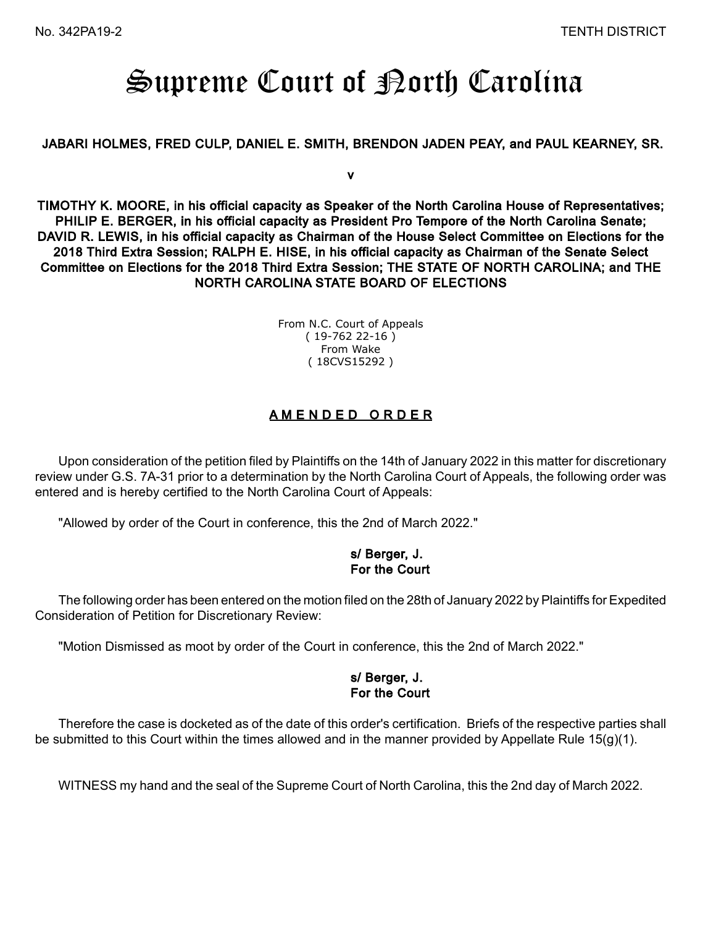# Supreme Court of Borth Carolina

#### JABARI HOLMES, FRED CULP, DANIEL E. SMITH, BRENDON JADEN PEAY, and PAUL KEARNEY, SR.

v

TIMOTHY K. MOORE, in his official capacity as Speaker of the North Carolina House of Representatives; PHILIP E. BERGER, in his official capacity as President Pro Tempore of the North Carolina Senate; DAVID R. LEWIS, in his official capacity as Chairman of the House Select Committee on Elections for the 2018 Third Extra Session; RALPH E. HISE, in his official capacity as Chairman of the Senate Select Committee on Elections for the 2018 Third Extra Session; THE STATE OF NORTH CAROLINA; and THE NORTH CAROLINA STATE BOARD OF ELECTIONS

> From N.C. Court of Appeals ( 19-762 22-16 ) From Wake ( 18CVS15292 )

## A M E N D E D O R D E R

Upon consideration of the petition filed by Plaintiffs on the 14th of January 2022 in this matter for discretionary review under G.S. 7A-31 prior to a determination by the North Carolina Court of Appeals, the following order was entered and is hereby certified to the North Carolina Court of Appeals:

"Allowed by order of the Court in conference, this the 2nd of March 2022."

## s/ Berger, J. For the Court

The following order has been entered on the motion filed on the 28th of January 2022 by Plaintiffs for Expedited Consideration of Petition for Discretionary Review:

"Motion Dismissed as moot by order of the Court in conference, this the 2nd of March 2022."

## s/ Berger, J. For the Court

Therefore the case is docketed as of the date of this order's certification. Briefs of the respective parties shall be submitted to this Court within the times allowed and in the manner provided by Appellate Rule 15(g)(1).

WITNESS my hand and the seal of the Supreme Court of North Carolina, this the 2nd day of March 2022.